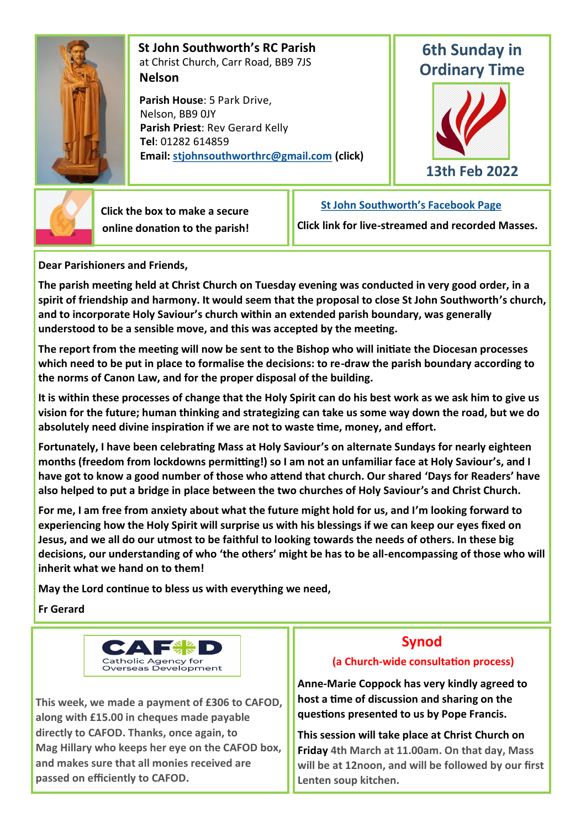

 **St John Southworth's RC Parish** at Christ Church, Carr Road, BB9 7JS **Nelson**

 **Parish House**: 5 Park Drive, Nelson, BB9 0JY **Parish Priest**: Rev Gerard Kelly **Tel**: 01282 614859 **Email: [stjohnsouthworthrc@gmail.com](mailto:stjohnsouthworth@gmail.com) (click)**

# **6th Sunday in Ordinary Time**





 **Click the box to make a secure online donation to the parish!** **[St John Southworth's Facebook Page](https://www.facebook.com/Parish-of-St-John-Southworth-in-Nelson-105718084323986)**

**Click link for live-streamed and recorded Masses.**

**Dear Parishioners and Friends,**

**The parish meeting held at Christ Church on Tuesday evening was conducted in very good order, in a spirit of friendship and harmony. It would seem that the proposal to close St John Southworth's church, and to incorporate Holy Saviour's church within an extended parish boundary, was generally understood to be a sensible move, and this was accepted by the meeting.**

**The report from the meeting will now be sent to the Bishop who will initiate the Diocesan processes which need to be put in place to formalise the decisions: to re-draw the parish boundary according to the norms of Canon Law, and for the proper disposal of the building.**

**It is within these processes of change that the Holy Spirit can do his best work as we ask him to give us vision for the future; human thinking and strategizing can take us some way down the road, but we do absolutely need divine inspiration if we are not to waste time, money, and effort.**

**Fortunately, I have been celebrating Mass at Holy Saviour's on alternate Sundays for nearly eighteen months (freedom from lockdowns permitting!) so I am not an unfamiliar face at Holy Saviour's, and I have got to know a good number of those who attend that church. Our shared 'Days for Readers' have also helped to put a bridge in place between the two churches of Holy Saviour's and Christ Church.**

**For me, I am free from anxiety about what the future might hold for us, and I'm looking forward to experiencing how the Holy Spirit will surprise us with his blessings if we can keep our eyes fixed on Jesus, and we all do our utmost to be faithful to looking towards the needs of others. In these big decisions, our understanding of who 'the others' might be has to be all-encompassing of those who will inherit what we hand on to them!** 

**May the Lord continue to bless us with everything we need,**

**Fr Gerard**



**This week, we made a payment of £306 to CAFOD, along with £15.00 in cheques made payable directly to CAFOD. Thanks, once again, to Mag Hillary who keeps her eye on the CAFOD box, and makes sure that all monies received are passed on efficiently to CAFOD.**

# **Synod**

## **(a Church-wide consultation process)**

**Anne-Marie Coppock has very kindly agreed to host a time of discussion and sharing on the questions presented to us by Pope Francis.** 

**This session will take place at Christ Church on Friday 4th March at 11.00am. On that day, Mass will be at 12noon, and will be followed by our first Lenten soup kitchen.**